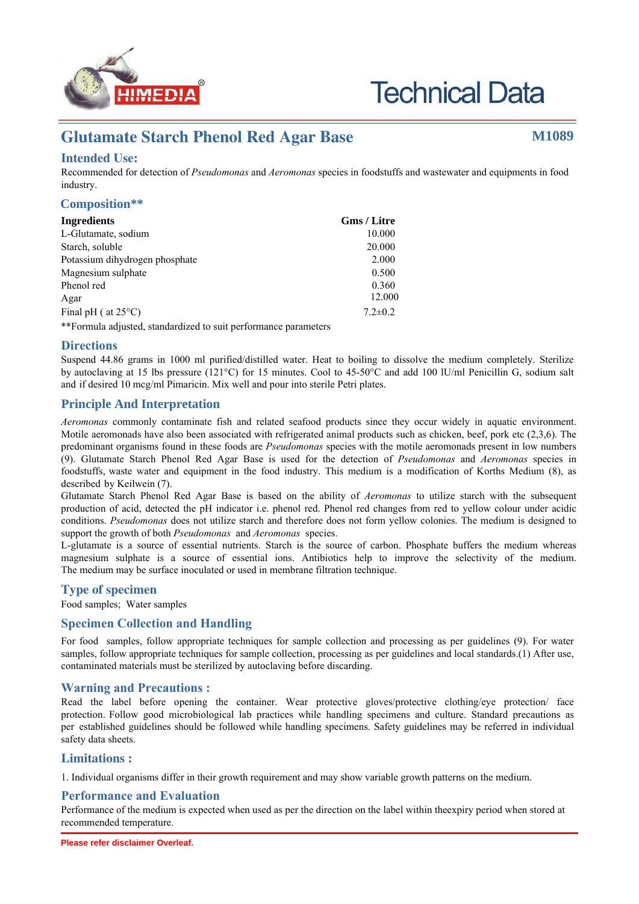

# **Technical Data**

# **Glutamate Starch Phenol Red Agar Base M1089**

# **Intended Use:**

Recommended for detection of *Pseudomonas* and *Aeromonas* species in foodstuffs and wastewater and equipments in food industry.

#### **Composition\*\***

| Ingredients                    | Gms / Litre   |
|--------------------------------|---------------|
| L-Glutamate, sodium            | 10.000        |
| Starch, soluble                | 20.000        |
| Potassium dihydrogen phosphate | 2.000         |
| Magnesium sulphate             | 0.500         |
| Phenol red                     | 0.360         |
| Agar                           | 12.000        |
| Final pH ( $at 25^{\circ}$ C)  | $7.2 \pm 0.2$ |
|                                |               |

\*\*Formula adjusted, standardized to suit performance parameters

#### **Directions**

Suspend 44.86 grams in 1000 ml purified/distilled water. Heat to boiling to dissolve the medium completely. Sterilize by autoclaving at 15 lbs pressure (121°C) for 15 minutes. Cool to 45-50°C and add 100 lU/ml Penicillin G, sodium salt and if desired 10 mcg/ml Pimaricin. Mix well and pour into sterile Petri plates.

#### **Principle And Interpretation**

*Aeromonas* commonly contaminate fish and related seafood products since they occur widely in aquatic environment. Motile aeromonads have also been associated with refrigerated animal products such as chicken, beef, pork etc (2,3,6). The predominant organisms found in these foods are *Pseudomonas* species with the motile aeromonads present in low numbers (9). Glutamate Starch Phenol Red Agar Base is used for the detection of *Pseudomonas* and *Aeromonas* species in foodstuffs, waste water and equipment in the food industry. This medium is a modification of Korths Medium (8), as described by Keilwein (7).

Glutamate Starch Phenol Red Agar Base is based on the ability of *Aeromonas* to utilize starch with the subsequent production of acid, detected the pH indicator i.e. phenol red. Phenol red changes from red to yellow colour under acidic conditions. *Pseudomonas* does not utilize starch and therefore does not form yellow colonies. The medium is designed to support the growth of both *Pseudomonas* and *Aeromonas* species.

L-glutamate is a source of essential nutrients. Starch is the source of carbon. Phosphate buffers the medium whereas magnesium sulphate is a source of essential ions. Antibiotics help to improve the selectivity of the medium. The medium may be surface inoculated or used in membrane filtration technique.

## **Type of specimen**

Food samples; Water samples

#### **Specimen Collection and Handling:**

For food samples, follow appropriate techniques for sample collection and processing as per guidelines (9). For water samples, follow appropriate techniques for sample collection, processing as per guidelines and local standards.(1) After use, contaminated materials must be sterilized by autoclaving before discarding.

#### **Warning and Precautions :**

Read the label before opening the container. Wear protective gloves/protective clothing/eye protection/ face protection. Follow good microbiological lab practices while handling specimens and culture. Standard precautions as per established guidelines should be followed while handling specimens. Safety guidelines may be referred in individual safety data sheets.

#### **Limitations :**

1. Individual organisms differ in their growth requirement and may show variable growth patterns on the medium.

#### **Performance and Evaluation**

Performance of the medium is expected when used as per the direction on the label within the expiry period when stored at recommended temperature.